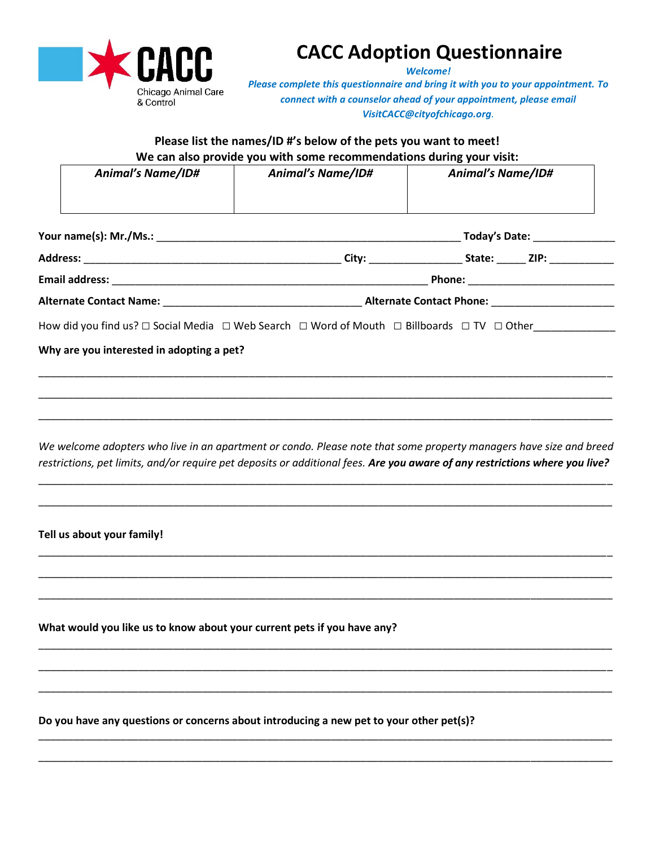

## **CACC Adoption Questionnaire**

*Welcome!* 

*Please complete this questionnaire and bring it with you to your appointment. To connect with a counselor ahead of your appointment, please email VisitCACC@cityofchicago.org.*

**Please list the names/ID #'s below of the pets you want to meet! We can also provide you with some recommendations during your visit:**

| <b>Animal's Name/ID#</b> | <b>Animal's Name/ID#</b> | <b>Animal's Name/ID#</b> |  |
|--------------------------|--------------------------|--------------------------|--|
|                          |                          |                          |  |

|                                                                                                                                         | Today's Date: _______________                                                                                                                                                                                                                 |  |  |
|-----------------------------------------------------------------------------------------------------------------------------------------|-----------------------------------------------------------------------------------------------------------------------------------------------------------------------------------------------------------------------------------------------|--|--|
| <b>Address:</b><br><u> 1980 - Jan James James Jan James James James James James James James James James James James James James Jam</u> | State: ZIP:<br>City: the contract of the contract of the contract of the contract of the contract of the contract of the contract of the contract of the contract of the contract of the contract of the contract of the contract of the cont |  |  |
| <b>Email address:</b>                                                                                                                   |                                                                                                                                                                                                                                               |  |  |
|                                                                                                                                         | <b>Alternate Contact Phone:</b> Alternate Contact Phone:                                                                                                                                                                                      |  |  |
| How did you find us? $\Box$ Social Media $\Box$ Web Search $\Box$ Word of Mouth $\Box$ Billboards $\Box$ TV $\Box$ Other                |                                                                                                                                                                                                                                               |  |  |

**Why are you interested in adopting a pet?**

*We welcome adopters who live in an apartment or condo. Please note that some property managers have size and breed restrictions, pet limits, and/or require pet deposits or additional fees. Are you aware of any restrictions where you live?*

\_\_\_\_\_\_\_\_\_\_\_\_\_\_\_\_\_\_\_\_\_\_\_\_\_\_\_\_\_\_\_\_\_\_\_\_\_\_\_\_\_\_\_\_\_\_\_\_\_\_\_\_\_\_\_\_\_\_\_\_\_\_\_\_\_\_\_\_\_\_\_\_\_\_\_\_\_\_\_\_\_\_\_\_\_\_\_\_\_\_\_\_\_\_\_\_\_\_

\_\_\_\_\_\_\_\_\_\_\_\_\_\_\_\_\_\_\_\_\_\_\_\_\_\_\_\_\_\_\_\_\_\_\_\_\_\_\_\_\_\_\_\_\_\_\_\_\_\_\_\_\_\_\_\_\_\_\_\_\_\_\_\_\_\_\_\_\_\_\_\_\_\_\_\_\_\_\_\_\_\_\_\_\_\_\_\_\_\_\_\_\_\_\_\_\_\_

\_\_\_\_\_\_\_\_\_\_\_\_\_\_\_\_\_\_\_\_\_\_\_\_\_\_\_\_\_\_\_\_\_\_\_\_\_\_\_\_\_\_\_\_\_\_\_\_\_\_\_\_\_\_\_\_\_\_\_\_\_\_\_\_\_\_\_\_\_\_\_\_\_\_\_\_\_\_\_\_\_\_\_\_\_\_\_\_\_\_\_\_\_\_\_\_\_\_

\_\_\_\_\_\_\_\_\_\_\_\_\_\_\_\_\_\_\_\_\_\_\_\_\_\_\_\_\_\_\_\_\_\_\_\_\_\_\_\_\_\_\_\_\_\_\_\_\_\_\_\_\_\_\_\_\_\_\_\_\_\_\_\_\_\_\_\_\_\_\_\_\_\_\_\_\_\_\_\_\_\_\_\_\_\_\_\_\_\_\_\_\_\_\_\_\_\_

\_\_\_\_\_\_\_\_\_\_\_\_\_\_\_\_\_\_\_\_\_\_\_\_\_\_\_\_\_\_\_\_\_\_\_\_\_\_\_\_\_\_\_\_\_\_\_\_\_\_\_\_\_\_\_\_\_\_\_\_\_\_\_\_\_\_\_\_\_\_\_\_\_\_\_\_\_\_\_\_\_\_\_\_\_\_\_\_\_\_\_\_\_\_\_\_\_\_

\_\_\_\_\_\_\_\_\_\_\_\_\_\_\_\_\_\_\_\_\_\_\_\_\_\_\_\_\_\_\_\_\_\_\_\_\_\_\_\_\_\_\_\_\_\_\_\_\_\_\_\_\_\_\_\_\_\_\_\_\_\_\_\_\_\_\_\_\_\_\_\_\_\_\_\_\_\_\_\_\_\_\_\_\_\_\_\_\_\_\_\_\_\_\_\_\_\_

\_\_\_\_\_\_\_\_\_\_\_\_\_\_\_\_\_\_\_\_\_\_\_\_\_\_\_\_\_\_\_\_\_\_\_\_\_\_\_\_\_\_\_\_\_\_\_\_\_\_\_\_\_\_\_\_\_\_\_\_\_\_\_\_\_\_\_\_\_\_\_\_\_\_\_\_\_\_\_\_\_\_\_\_\_\_\_\_\_\_\_\_\_\_\_\_\_\_

\_\_\_\_\_\_\_\_\_\_\_\_\_\_\_\_\_\_\_\_\_\_\_\_\_\_\_\_\_\_\_\_\_\_\_\_\_\_\_\_\_\_\_\_\_\_\_\_\_\_\_\_\_\_\_\_\_\_\_\_\_\_\_\_\_\_\_\_\_\_\_\_\_\_\_\_\_\_\_\_\_\_\_\_\_\_\_\_\_\_\_\_\_\_\_\_\_\_

\_\_\_\_\_\_\_\_\_\_\_\_\_\_\_\_\_\_\_\_\_\_\_\_\_\_\_\_\_\_\_\_\_\_\_\_\_\_\_\_\_\_\_\_\_\_\_\_\_\_\_\_\_\_\_\_\_\_\_\_\_\_\_\_\_\_\_\_\_\_\_\_\_\_\_\_\_\_\_\_\_\_\_\_\_\_\_\_\_\_\_\_\_\_\_\_\_\_

\_\_\_\_\_\_\_\_\_\_\_\_\_\_\_\_\_\_\_\_\_\_\_\_\_\_\_\_\_\_\_\_\_\_\_\_\_\_\_\_\_\_\_\_\_\_\_\_\_\_\_\_\_\_\_\_\_\_\_\_\_\_\_\_\_\_\_\_\_\_\_\_\_\_\_\_\_\_\_\_\_\_\_\_\_\_\_\_\_\_\_\_\_\_\_\_\_\_

\_\_\_\_\_\_\_\_\_\_\_\_\_\_\_\_\_\_\_\_\_\_\_\_\_\_\_\_\_\_\_\_\_\_\_\_\_\_\_\_\_\_\_\_\_\_\_\_\_\_\_\_\_\_\_\_\_\_\_\_\_\_\_\_\_\_\_\_\_\_\_\_\_\_\_\_\_\_\_\_\_\_\_\_\_\_\_\_\_\_\_\_\_\_\_\_\_\_

\_\_\_\_\_\_\_\_\_\_\_\_\_\_\_\_\_\_\_\_\_\_\_\_\_\_\_\_\_\_\_\_\_\_\_\_\_\_\_\_\_\_\_\_\_\_\_\_\_\_\_\_\_\_\_\_\_\_\_\_\_\_\_\_\_\_\_\_\_\_\_\_\_\_\_\_\_\_\_\_\_\_\_\_\_\_\_\_\_\_\_\_\_\_\_\_\_\_

\_\_\_\_\_\_\_\_\_\_\_\_\_\_\_\_\_\_\_\_\_\_\_\_\_\_\_\_\_\_\_\_\_\_\_\_\_\_\_\_\_\_\_\_\_\_\_\_\_\_\_\_\_\_\_\_\_\_\_\_\_\_\_\_\_\_\_\_\_\_\_\_\_\_\_\_\_\_\_\_\_\_\_\_\_\_\_\_\_\_\_\_\_\_\_\_\_\_

**Tell us about your family!**

**What would you like us to know about your current pets if you have any?**

**Do you have any questions or concerns about introducing a new pet to your other pet(s)?**